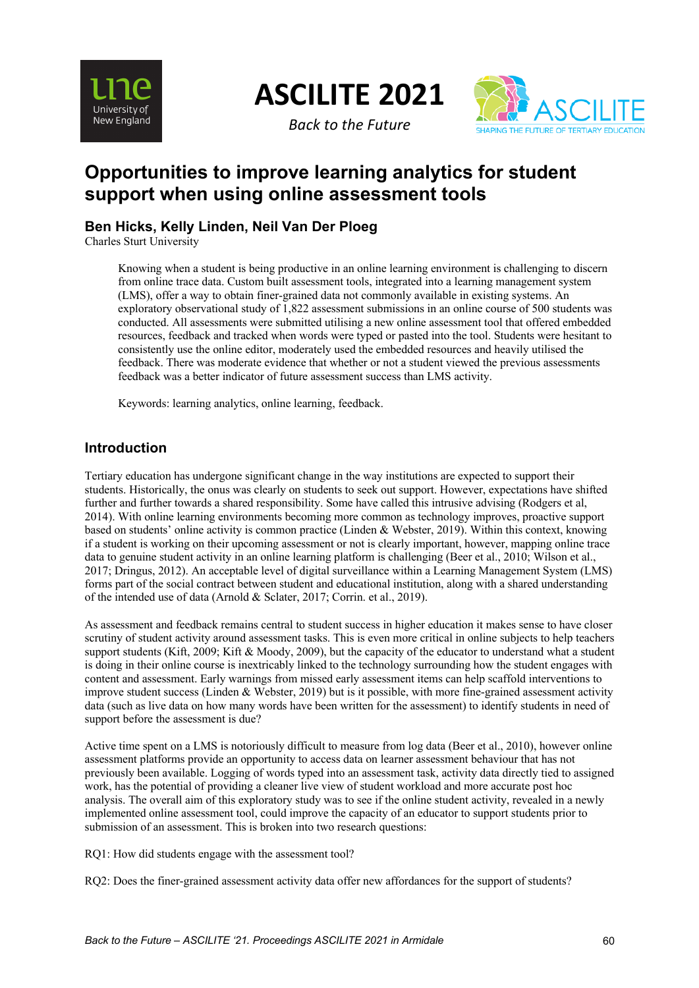

**ASCILITE 2021**

*Back to the Future*



# **Opportunities to improve learning analytics for student support when using online assessment tools**

### **Ben Hicks, Kelly Linden, Neil Van Der Ploeg**

Charles Sturt University

Knowing when a student is being productive in an online learning environment is challenging to discern from online trace data. Custom built assessment tools, integrated into a learning management system (LMS), offer a way to obtain finer-grained data not commonly available in existing systems. An exploratory observational study of 1,822 assessment submissions in an online course of 500 students was conducted. All assessments were submitted utilising a new online assessment tool that offered embedded resources, feedback and tracked when words were typed or pasted into the tool. Students were hesitant to consistently use the online editor, moderately used the embedded resources and heavily utilised the feedback. There was moderate evidence that whether or not a student viewed the previous assessments feedback was a better indicator of future assessment success than LMS activity.

Keywords: learning analytics, online learning, feedback.

### **Introduction**

Tertiary education has undergone significant change in the way institutions are expected to support their students. Historically, the onus was clearly on students to seek out support. However, expectations have shifted further and further towards a shared responsibility. Some have called this intrusive advising (Rodgers et al, 2014). With online learning environments becoming more common as technology improves, proactive support based on students' online activity is common practice (Linden & Webster, 2019). Within this context, knowing if a student is working on their upcoming assessment or not is clearly important, however, mapping online trace data to genuine student activity in an online learning platform is challenging (Beer et al., 2010; Wilson et al., 2017; Dringus, 2012). An acceptable level of digital surveillance within a Learning Management System (LMS) forms part of the social contract between student and educational institution, along with a shared understanding of the intended use of data (Arnold & Sclater, 2017; Corrin. et al., 2019).

As assessment and feedback remains central to student success in higher education it makes sense to have closer scrutiny of student activity around assessment tasks. This is even more critical in online subjects to help teachers support students (Kift, 2009; Kift & Moody, 2009), but the capacity of the educator to understand what a student is doing in their online course is inextricably linked to the technology surrounding how the student engages with content and assessment. Early warnings from missed early assessment items can help scaffold interventions to improve student success (Linden & Webster, 2019) but is it possible, with more fine-grained assessment activity data (such as live data on how many words have been written for the assessment) to identify students in need of support before the assessment is due?

Active time spent on a LMS is notoriously difficult to measure from log data (Beer et al., 2010), however online assessment platforms provide an opportunity to access data on learner assessment behaviour that has not previously been available. Logging of words typed into an assessment task, activity data directly tied to assigned work, has the potential of providing a cleaner live view of student workload and more accurate post hoc analysis. The overall aim of this exploratory study was to see if the online student activity, revealed in a newly implemented online assessment tool, could improve the capacity of an educator to support students prior to submission of an assessment. This is broken into two research questions:

RQ1: How did students engage with the assessment tool?

RQ2: Does the finer-grained assessment activity data offer new affordances for the support of students?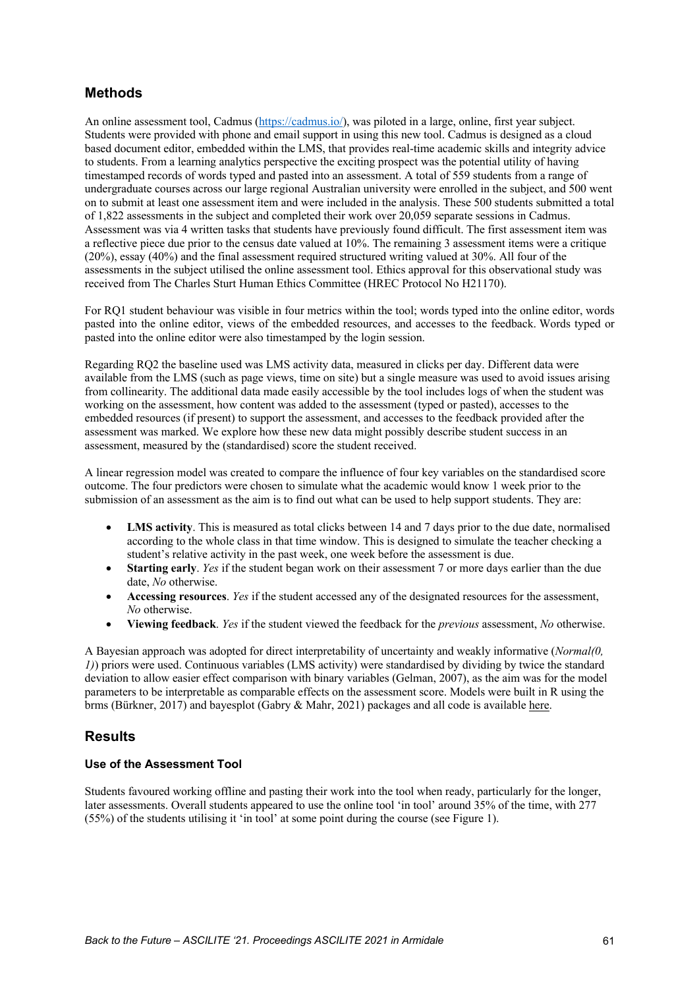### **Methods**

An online assessment tool, Cadmus (https://cadmus.io/), was piloted in a large, online, first year subject. Students were provided with phone and email support in using this new tool. Cadmus is designed as a cloud based document editor, embedded within the LMS, that provides real-time academic skills and integrity advice to students. From a learning analytics perspective the exciting prospect was the potential utility of having timestamped records of words typed and pasted into an assessment. A total of 559 students from a range of undergraduate courses across our large regional Australian university were enrolled in the subject, and 500 went on to submit at least one assessment item and were included in the analysis. These 500 students submitted a total of 1,822 assessments in the subject and completed their work over 20,059 separate sessions in Cadmus. Assessment was via 4 written tasks that students have previously found difficult. The first assessment item was a reflective piece due prior to the census date valued at  $10\%$ . The remaining 3 assessment items were a critique (20%), essay (40%) and the final assessment required structured writing valued at 30%. All four of the assessments in the subject utilised the online assessment tool. Ethics approval for this observational study was received from The Charles Sturt Human Ethics Committee (HREC Protocol No H21170).

For RQ1 student behaviour was visible in four metrics within the tool; words typed into the online editor, words pasted into the online editor, views of the embedded resources, and accesses to the feedback. Words typed or pasted into the online editor were also timestamped by the login session.

Regarding RQ2 the baseline used was LMS activity data, measured in clicks per day. Different data were available from the LMS (such as page views, time on site) but a single measure was used to avoid issues arising from collinearity. The additional data made easily accessible by the tool includes logs of when the student was working on the assessment, how content was added to the assessment (typed or pasted), accesses to the embedded resources (if present) to support the assessment, and accesses to the feedback provided after the assessment was marked. We explore how these new data might possibly describe student success in an assessment, measured by the (standardised) score the student received.

A linear regression model was created to compare the influence of four key variables on the standardised score outcome. The four predictors were chosen to simulate what the academic would know 1 week prior to the submission of an assessment as the aim is to find out what can be used to help support students. They are:

- **LMS activity**. This is measured as total clicks between 14 and 7 days prior to the due date, normalised according to the whole class in that time window. This is designed to simulate the teacher checking a student's relative activity in the past week, one week before the assessment is due.
- **Starting early**. *Yes* if the student began work on their assessment 7 or more days earlier than the due date, *No* otherwise.
- **Accessing resources**. *Yes* if the student accessed any of the designated resources for the assessment, *No* otherwise.
- **Viewing feedback**. *Yes* if the student viewed the feedback for the *previous* assessment, *No* otherwise.

A Bayesian approach was adopted for direct interpretability of uncertainty and weakly informative (*Normal(0, 1*) priors were used. Continuous variables (LMS activity) were standardised by dividing by twice the standard deviation to allow easier effect comparison with binary variables (Gelman, 2007), as the aim was for the model parameters to be interpretable as comparable effects on the assessment score. Models were built in R using the brms (Bürkner, 2017) and bayesplot (Gabry & Mahr, 2021) packages and all code is available here.

### **Results**

### **Use of the Assessment Tool**

Students favoured working offline and pasting their work into the tool when ready, particularly for the longer, later assessments. Overall students appeared to use the online tool 'in tool' around 35% of the time, with 277 (55%) of the students utilising it 'in tool' at some point during the course (see Figure 1).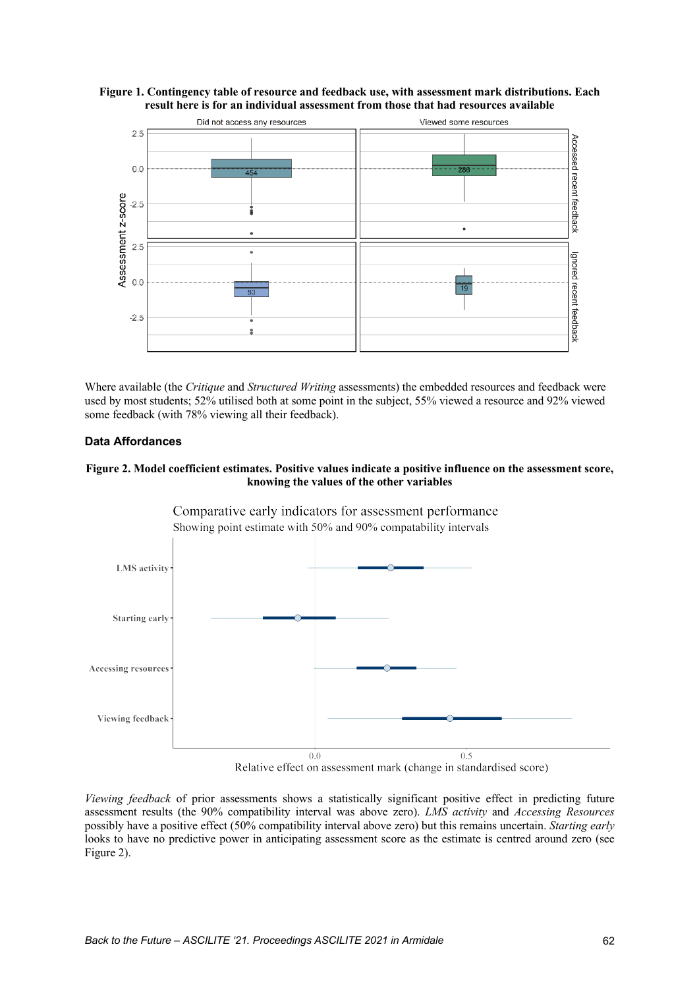



Where available (the *Critique* and *Structured Writing* assessments) the embedded resources and feedback were used by most students; 52% utilised both at some point in the subject, 55% viewed a resource and 92% viewed some feedback (with 78% viewing all their feedback).

#### **Data Affordances**

#### **Figure 2. Model coefficient estimates. Positive values indicate a positive influence on the assessment score, knowing the values of the other variables**



Relative effect on assessment mark (change in standardised score)

*Viewing feedback* of prior assessments shows a statistically significant positive effect in predicting future assessment results (the 90% compatibility interval was above zero). *LMS activity* and *Accessing Resources*  possibly have a positive effect (50% compatibility interval above zero) but this remains uncertain. *Starting early* looks to have no predictive power in anticipating assessment score as the estimate is centred around zero (see Figure 2).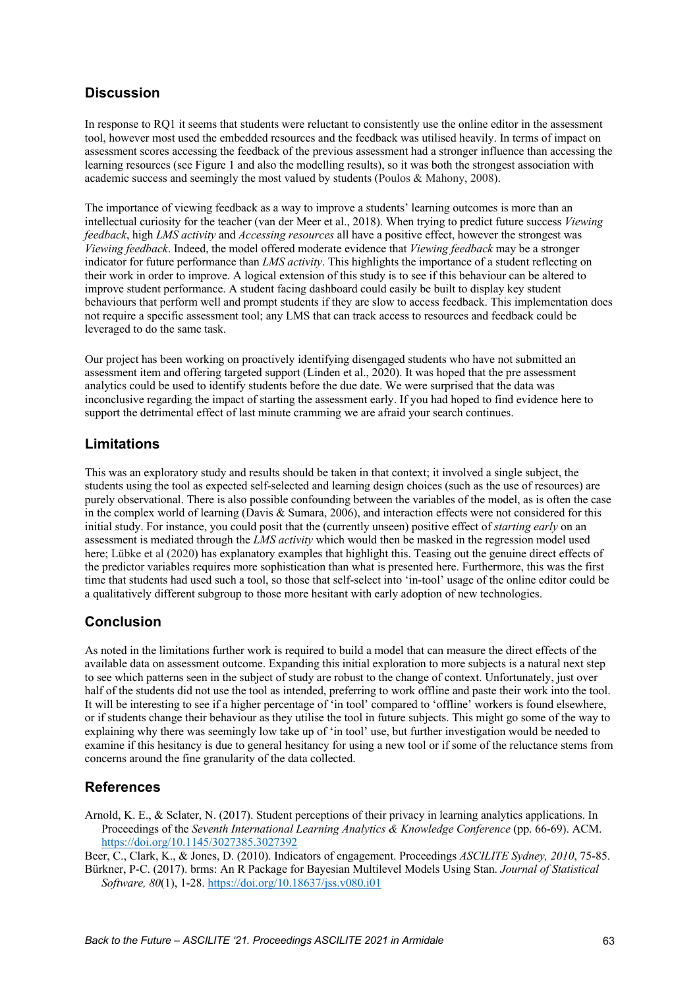## **Discussion**

In response to RQ1 it seems that students were reluctant to consistently use the online editor in the assessment tool, however most used the embedded resources and the feedback was utilised heavily. In terms of impact on assessment scores accessing the feedback of the previous assessment had a stronger influence than accessing the learning resources (see Figure 1 and also the modelling results), so it was both the strongest association with academic success and seemingly the most valued by students (Poulos & Mahony, 2008).

The importance of viewing feedback as a way to improve a students' learning outcomes is more than an intellectual curiosity for the teacher (van der Meer et al., 2018). When trying to predict future success *Viewing feedback*, high *LMS activity* and *Accessing resources* all have a positive effect, however the strongest was *Viewing feedback*. Indeed, the model offered moderate evidence that *Viewing feedback* may be a stronger indicator for future performance than *LMS activity*. This highlights the importance of a student reflecting on their work in order to improve. A logical extension of this study is to see if this behaviour can be altered to improve student performance. A student facing dashboard could easily be built to display key student behaviours that perform well and prompt students if they are slow to access feedback. This implementation does not require a specific assessment tool; any LMS that can track access to resources and feedback could be leveraged to do the same task.

Our project has been working on proactively identifying disengaged students who have not submitted an assessment item and offering targeted support (Linden et al., 2020). It was hoped that the pre assessment analytics could be used to identify students before the due date. We were surprised that the data was inconclusive regarding the impact of starting the assessment early. If you had hoped to find evidence here to support the detrimental effect of last minute cramming we are afraid your search continues.

### **Limitations**

This was an exploratory study and results should be taken in that context; it involved a single subject, the students using the tool as expected self-selected and learning design choices (such as the use of resources) are purely observational. There is also possible confounding between the variables of the model, as is often the case in the complex world of learning (Davis & Sumara, 2006), and interaction effects were not considered for this initial study. For instance, you could posit that the (currently unseen) positive effect of *starting early* on an assessment is mediated through the *LMS activity* which would then be masked in the regression model used here; Lübke et al (2020) has explanatory examples that highlight this. Teasing out the genuine direct effects of the predictor variables requires more sophistication than what is presented here. Furthermore, this was the first time that students had used such a tool, so those that self-select into 'in-tool' usage of the online editor could be a qualitatively different subgroup to those more hesitant with early adoption of new technologies.

### **Conclusion**

As noted in the limitations further work is required to build a model that can measure the direct effects of the available data on assessment outcome. Expanding this initial exploration to more subjects is a natural next step to see which patterns seen in the subject of study are robust to the change of context. Unfortunately, just over half of the students did not use the tool as intended, preferring to work offline and paste their work into the tool. It will be interesting to see if a higher percentage of 'in tool' compared to 'offline' workers is found elsewhere, or if students change their behaviour as they utilise the tool in future subjects. This might go some of the way to explaining why there was seemingly low take up of 'in tool' use, but further investigation would be needed to examine if this hesitancy is due to general hesitancy for using a new tool or if some of the reluctance stems from concerns around the fine granularity of the data collected.

### **References**

Arnold, K. E., & Sclater, N. (2017). Student perceptions of their privacy in learning analytics applications. In Proceedings of the *Seventh International Learning Analytics & Knowledge Conference* (pp. 66-69). ACM. https://doi.org/10.1145/3027385.3027392

Beer, C., Clark, K., & Jones, D. (2010). Indicators of engagement. Proceedings *ASCILITE Sydney, 2010*, 75-85.

Bürkner, P-C. (2017). brms: An R Package for Bayesian Multilevel Models Using Stan. *Journal of Statistical Software, 80*(1), 1-28. https://doi.org/10.18637/jss.v080.i01